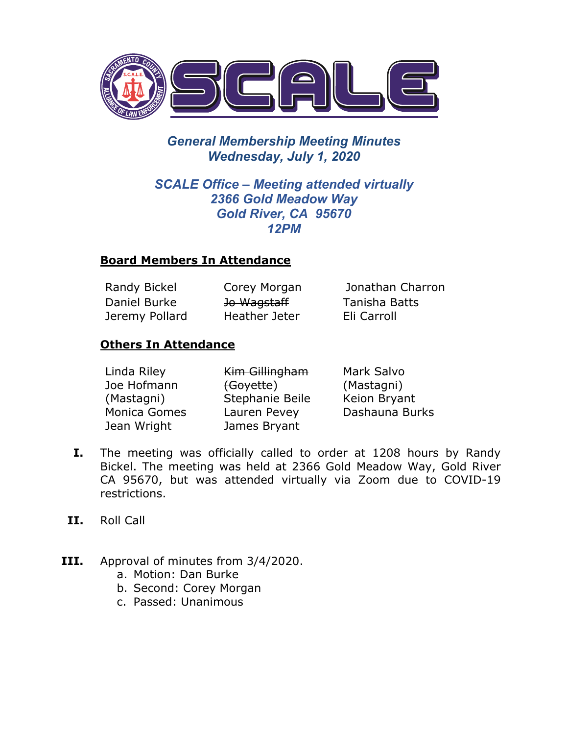

# *General Membership Meeting Minutes Wednesday, July 1, 2020*

## *SCALE Office – Meeting attended virtually 2366 Gold Meadow Way Gold River, CA 95670 12PM*

### **Board Members In Attendance**

| Randy Bickel   | Corey Morgan           | Jonathan Charron |
|----------------|------------------------|------------------|
| Daniel Burke   | <del>Jo Wagstaff</del> | Tanisha Batts    |
| Jeremy Pollard | Heather Jeter          | Eli Carroll      |

### **Others In Attendance**

| Linda Riley  | Kim Gillingham  | Mark Salvo     |
|--------------|-----------------|----------------|
| Joe Hofmann  | (Goyette)       | (Mastagni)     |
| (Mastagni)   | Stephanie Beile | Keion Bryant   |
| Monica Gomes | Lauren Pevey    | Dashauna Burks |
| Jean Wright  | James Bryant    |                |

- **I.** The meeting was officially called to order at 1208 hours by Randy Bickel. The meeting was held at 2366 Gold Meadow Way, Gold River CA 95670, but was attended virtually via Zoom due to COVID-19 restrictions.
- **II.** Roll Call
- **III.** Approval of minutes from 3/4/2020.
	- a. Motion: Dan Burke
	- b. Second: Corey Morgan
	- c. Passed: Unanimous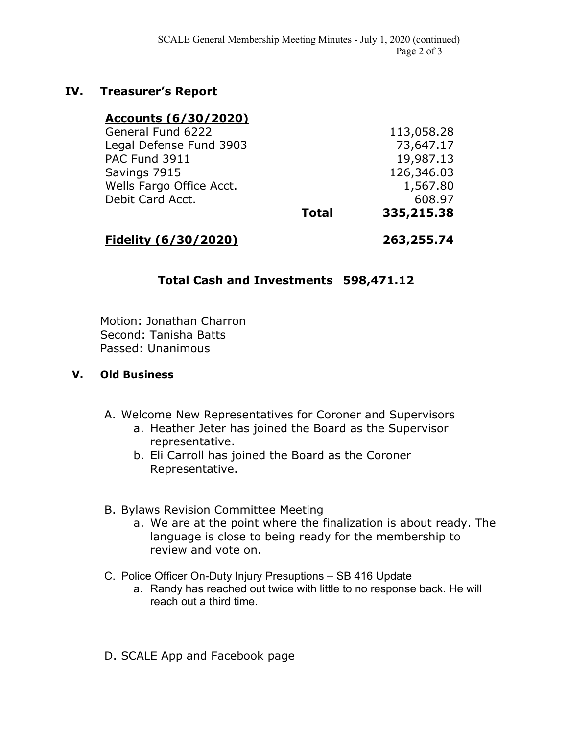### **IV. Treasurer's Report**

| Accounts (6/30/2020)     |              |            |
|--------------------------|--------------|------------|
| General Fund 6222        |              | 113,058.28 |
| Legal Defense Fund 3903  |              | 73,647.17  |
| PAC Fund 3911            |              | 19,987.13  |
| Savings 7915             |              | 126,346.03 |
| Wells Fargo Office Acct. |              | 1,567.80   |
| Debit Card Acct.         |              | 608.97     |
|                          | <b>Total</b> | 335,215.38 |
|                          |              |            |

**Fidelity (6/30/2020) 263,255.74**

### **Total Cash and Investments 598,471.12**

Motion: Jonathan Charron Second: Tanisha Batts Passed: Unanimous

#### **V. Old Business**

- A. Welcome New Representatives for Coroner and Supervisors
	- a. Heather Jeter has joined the Board as the Supervisor representative.
	- b. Eli Carroll has joined the Board as the Coroner Representative.
- B. Bylaws Revision Committee Meeting
	- a. We are at the point where the finalization is about ready. The language is close to being ready for the membership to review and vote on.
- C. Police Officer On-Duty Injury Presuptions SB 416 Update
	- a. Randy has reached out twice with little to no response back. He will reach out a third time.
- D. SCALE App and Facebook page